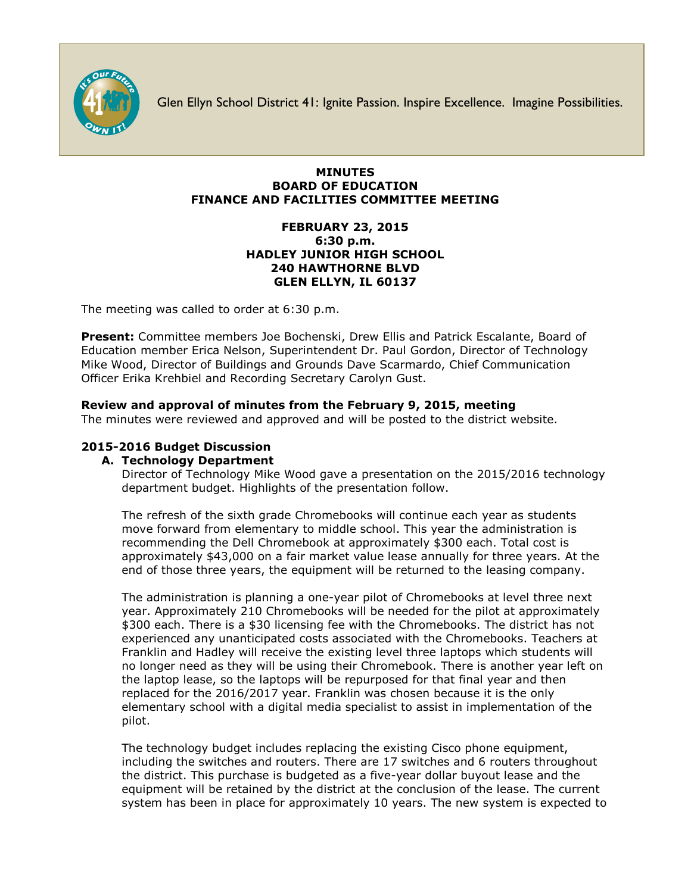

Glen Ellyn School District 41: Ignite Passion. Inspire Excellence. Imagine Possibilities.

## **MINUTES BOARD OF EDUCATION FINANCE AND FACILITIES COMMITTEE MEETING**

## **FEBRUARY 23, 2015 6:30 p.m. HADLEY JUNIOR HIGH SCHOOL 240 HAWTHORNE BLVD GLEN ELLYN, IL 60137**

The meeting was called to order at 6:30 p.m.

**Present:** Committee members Joe Bochenski, Drew Ellis and Patrick Escalante, Board of Education member Erica Nelson, Superintendent Dr. Paul Gordon, Director of Technology Mike Wood, Director of Buildings and Grounds Dave Scarmardo, Chief Communication Officer [Erika Krehbiel](http://www.d41.org/contact_email.asp?id=ekrehbiel&n=Erika_Krehbiel) and Recording Secretary Carolyn Gust.

# **Review and approval of minutes from the February 9, 2015, meeting**

The minutes were reviewed and approved and will be posted to the district website.

# **2015-2016 Budget Discussion**

## **A. Technology Department**

Director of Technology Mike Wood gave a presentation on the 2015/2016 technology department budget. Highlights of the presentation follow.

The refresh of the sixth grade Chromebooks will continue each year as students move forward from elementary to middle school. This year the administration is recommending the Dell Chromebook at approximately \$300 each. Total cost is approximately \$43,000 on a fair market value lease annually for three years. At the end of those three years, the equipment will be returned to the leasing company.

The administration is planning a one-year pilot of Chromebooks at level three next year. Approximately 210 Chromebooks will be needed for the pilot at approximately \$300 each. There is a \$30 licensing fee with the Chromebooks. The district has not experienced any unanticipated costs associated with the Chromebooks. Teachers at Franklin and Hadley will receive the existing level three laptops which students will no longer need as they will be using their Chromebook. There is another year left on the laptop lease, so the laptops will be repurposed for that final year and then replaced for the 2016/2017 year. Franklin was chosen because it is the only elementary school with a digital media specialist to assist in implementation of the pilot.

The technology budget includes replacing the existing Cisco phone equipment, including the switches and routers. There are 17 switches and 6 routers throughout the district. This purchase is budgeted as a five-year dollar buyout lease and the equipment will be retained by the district at the conclusion of the lease. The current system has been in place for approximately 10 years. The new system is expected to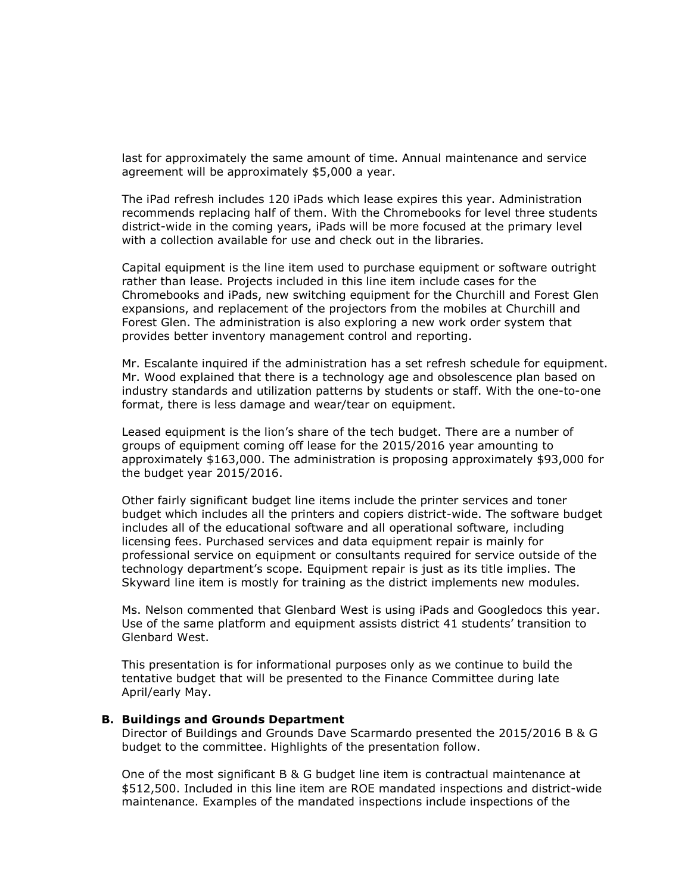last for approximately the same amount of time. Annual maintenance and service agreement will be approximately \$5,000 a year.

The iPad refresh includes 120 iPads which lease expires this year. Administration recommends replacing half of them. With the Chromebooks for level three students district-wide in the coming years, iPads will be more focused at the primary level with a collection available for use and check out in the libraries.

Capital equipment is the line item used to purchase equipment or software outright rather than lease. Projects included in this line item include cases for the Chromebooks and iPads, new switching equipment for the Churchill and Forest Glen expansions, and replacement of the projectors from the mobiles at Churchill and Forest Glen. The administration is also exploring a new work order system that provides better inventory management control and reporting.

Mr. Escalante inquired if the administration has a set refresh schedule for equipment. Mr. Wood explained that there is a technology age and obsolescence plan based on industry standards and utilization patterns by students or staff. With the one-to-one format, there is less damage and wear/tear on equipment.

Leased equipment is the lion's share of the tech budget. There are a number of groups of equipment coming off lease for the 2015/2016 year amounting to approximately \$163,000. The administration is proposing approximately \$93,000 for the budget year 2015/2016.

Other fairly significant budget line items include the printer services and toner budget which includes all the printers and copiers district-wide. The software budget includes all of the educational software and all operational software, including licensing fees. Purchased services and data equipment repair is mainly for professional service on equipment or consultants required for service outside of the technology department's scope. Equipment repair is just as its title implies. The Skyward line item is mostly for training as the district implements new modules.

Ms. Nelson commented that Glenbard West is using iPads and Googledocs this year. Use of the same platform and equipment assists district 41 students' transition to Glenbard West.

This presentation is for informational purposes only as we continue to build the tentative budget that will be presented to the Finance Committee during late April/early May.

#### **B. Buildings and Grounds Department**

Director of Buildings and Grounds Dave Scarmardo presented the 2015/2016 B & G budget to the committee. Highlights of the presentation follow.

One of the most significant B & G budget line item is contractual maintenance at \$512,500. Included in this line item are ROE mandated inspections and district-wide maintenance. Examples of the mandated inspections include inspections of the